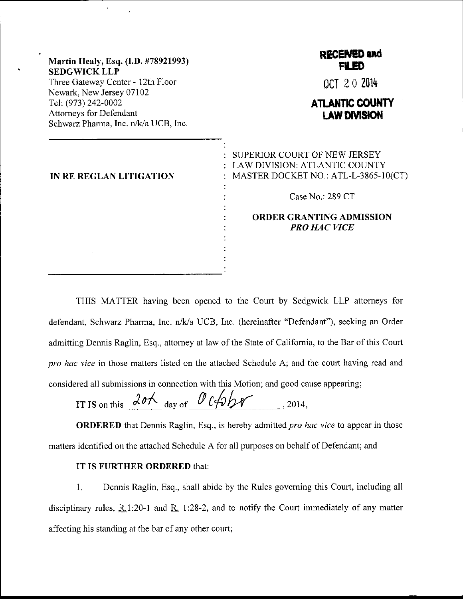| Martin Healy, Esq. (I.D. #78921993)<br><b>SEDGWICK LLP</b>                                                                | <b>RECENED and</b><br><b>FILED</b>                                                                    |
|---------------------------------------------------------------------------------------------------------------------------|-------------------------------------------------------------------------------------------------------|
| Three Gateway Center - 12th Floor                                                                                         | OCT 20 2014                                                                                           |
| Newark, New Jersey 07102<br>Tel: (973) 242-0002<br><b>Attorneys for Defendant</b><br>Schwarz Pharma, Inc. n/k/a UCB, Inc. | <b>ATLANTIC COUNTY</b><br><b>LAW DIVISION</b>                                                         |
| IN RE REGLAN LITIGATION                                                                                                   | SUPERIOR COURT OF NEW JERSEY<br>LAW DIVISION: ATLANTIC COUNTY<br>MASTER DOCKET NO.: ATL-L-3865-10(CT) |
|                                                                                                                           | Case No.: 289 CT                                                                                      |
|                                                                                                                           | <b>ORDER GRANTING ADMISSION</b><br><b>PRO HAC VICE</b>                                                |
|                                                                                                                           |                                                                                                       |

THIS MATTER having been opened to the Court by Sedgwick LLP attorneys for defendant, Schwarz Pharma, Inc. n/k/a UCB, Inc. (hereinafter "Defendant"), seeking an Order admitting Dennis Raglin, Esq., attorney at law of the State of Califomia, to the Bar of this Court pro hac vice in those matters listed on the attached Schedule A; and the court having read and considered all submissions in connection with this Motion; and good cause appearing;

IT IS on this  $20A$  day of  $0$  (4bber , 2014,

**ORDERED** that Dennis Raglin, Esq., is hereby admitted pro hac vice to appear in those matters identified on the attached Schedule A for all purposes on behalf of Defendant; and

## IT IS FURTHER ORDERED that:

l. Dennis Raglin, Esq., shall abide by the Rules goveming this Court, including all disciplinary rules,  $R.1:20-1$  and  $R.1:28-2$ , and to notify the Court immediately of any matter affecting his standing at the bar of any other court;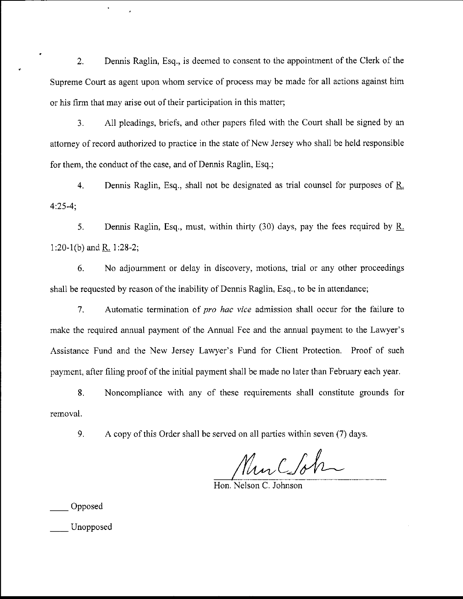2. Dennis Raglin, Esq., is deemed to consent to the appointment of the Clerk of the Supreme Court as agent upon whom service of process may be made for all actions against him or his firm that may arise out of their participation in this matter;

3. All pleadings, briefs, and other papers filed with the Court shall be signed by an attomey of record authorized to practice in the state of New Jersey who shall be held responsible for them, the conduct of the case, and of Dennis Raglin, Esq.;

4. Dennis Raglin, Esq., shall not be designated as ffial counsel for purposes of R. 4:25-4;

5. Dennis Raglin, Esq., must, within thirty (30) days, pay the fees required by R. 1:20-1(b) and R. 1:28-2;

6. No adjournment or delay in discovery, motions, trial or any other proceedings shall be requested by reason of the inability of Dennis Raglin, Esq., to be in attendance;

7. Automatic termination of *pro hac vice* admission shall occur for the failure to make the required annual payment of the Annual Fee and the annual payment to the Lawyer's Assistance Fund and the New Jersey Lawyer's Fund for Client Protection. Proof of such payment, after filing proof of the initial payment shall be made no later than February each year.

8. Noncompliance with any of these requirements shall constitute grounds for removal.

9. A copy of this Order shall be served on all parties within seven (7) days.

Murcoh

Hon. Nelson C. Johnson

Opposed

Unopposed